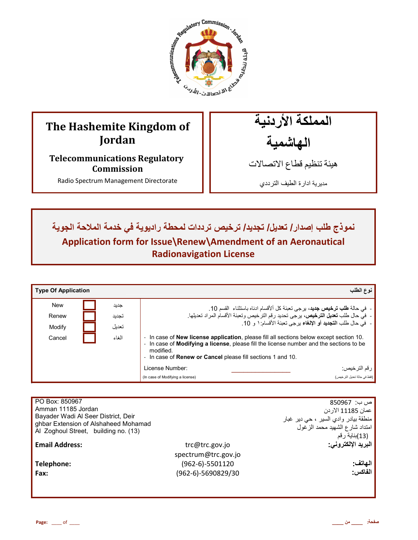

# **The Hashemite Kingdom of Jordan**

**Telecommunications Regulatory Commission** 

Radio Spectrum Management Directorate

المملكة الأردنية الـهاشمية

هيئة تنظيم قطاع الاتصـالات

مديرية ادارة الطيف الترددي

نموذج طلب إصدار / تعديل/ تجديد/ ترخيص ترددات لمحطة راديوية في خدمة الملاحة الجوية **Application form for Issue\Renew\Amendment of an Aeronautical Radionavigation License**

| <b>Type Of Application</b> |       | نوع الطلب                                                                                                                                                                                                                                                                     |
|----------------------------|-------|-------------------------------------------------------------------------------------------------------------------------------------------------------------------------------------------------------------------------------------------------------------------------------|
| <b>New</b>                 | جديد  | - في حالة <b>طلب ترخيص جديد</b> ، يرجى تعبئة كل ألأقسام ادناه باستثناء  القسم 10.                                                                                                                                                                                             |
| Renew                      | تجديد | -  في حال طلب تعديل الترخيص، يرجى تحديد رقم الترخيص وتعبئة الأقسام المراد تعديلها.                                                                                                                                                                                            |
| Modify                     | تعدبل | -  في حال طلب ا <b>لتجديد</b> أو الإلغاء يرجى تعبئة الأقسام: ١ و 10.                                                                                                                                                                                                          |
| Cancel                     | الغاء | - In case of <b>New license application</b> , please fill all sections below except section 10.<br>- In case of Modifying a license, please fill the license number and the sections to be<br>modified.<br>- In case of <b>Renew or Cancel</b> please fill sections 1 and 10. |
|                            |       | ر قم التر خيص:<br>License Number:                                                                                                                                                                                                                                             |
|                            |       | (فقط في حالة تعديل التر خيص)<br>(In case of Modifying a license)                                                                                                                                                                                                              |

| PO Box: 850967                                                               |                     | ص ب:  850967                         |
|------------------------------------------------------------------------------|---------------------|--------------------------------------|
| Amman 11185 Jordan                                                           |                     | عمان 11185 الار دن                   |
| Bayader Wadi Al Seer District, Deir                                          |                     | منطقة بيادر وادي السير ، حي دير غبار |
| ghbar Extension of Alshaheed Mohamad<br>Al Zoghoul Street, building no. (13) |                     | امتداد شارع الشهيد محمد الزغول       |
|                                                                              |                     | (13)بناية رقم                        |
| <b>Email Address:</b>                                                        | trc@trc.gov.jo      | البريد الإلكتروني:                   |
|                                                                              | spectrum@trc.gov.jo |                                      |
| Telephone:                                                                   | (962-6)-5501120     | الـهاتف:                             |
| Fax:                                                                         | (962-6)-5690829/30  | الفاكس:                              |
|                                                                              |                     |                                      |
|                                                                              |                     |                                      |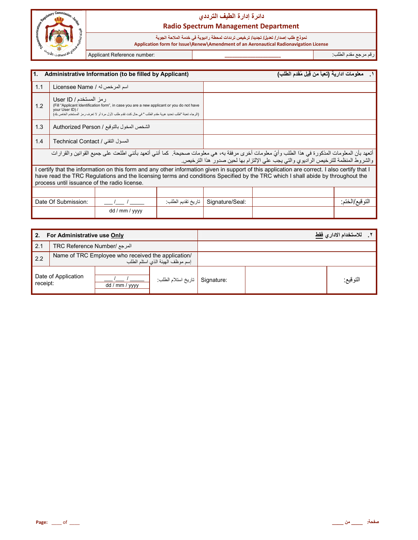

#### نموذج طلب إصدار / تع*ديل/* تجديد/ ترخيص ترددات لمحطة راديوية في خدمة الملاحة الجوية

 **Application form for Issue\Renew\Amendment of an Aeronautical Radionavigation License**

رم رf &دم اط+ب: **\_\_\_\_\_\_\_\_\_\_\_\_\_\_\_\_\_\_\_\_\_\_** :number Reference Applicant

| <b>11.</b><br>Administrative Information (to be filled by Applicant)                                                                                                                                                                                        |                                                                                                                                                                                                                                                                                                                                  |                 |  | معلومات ادارية (تعبأ من قِبل مُقدم الطلب) |                                                                                    |  |
|-------------------------------------------------------------------------------------------------------------------------------------------------------------------------------------------------------------------------------------------------------------|----------------------------------------------------------------------------------------------------------------------------------------------------------------------------------------------------------------------------------------------------------------------------------------------------------------------------------|-----------------|--|-------------------------------------------|------------------------------------------------------------------------------------|--|
| 1.1<br>اسم المرخص له / Licensee Name                                                                                                                                                                                                                        |                                                                                                                                                                                                                                                                                                                                  |                 |  |                                           |                                                                                    |  |
| رمز المستخدم / User ID<br>1.2<br>(Fill "Applicant Identification form", in case you are a new applicant or you do not have<br>vour User ID) /<br>(الرجاء تعبئة "طلب تحديد هوية مقدم الطلب " في حال كنت تقدم طلب لأول مرة أو لا تعرف ر مز المستخدم الخاص بك) |                                                                                                                                                                                                                                                                                                                                  |                 |  |                                           |                                                                                    |  |
| 1.3<br>الشخص المخول بالتوقيع / Authorized Person                                                                                                                                                                                                            |                                                                                                                                                                                                                                                                                                                                  |                 |  |                                           |                                                                                    |  |
| 1.4                                                                                                                                                                                                                                                         | المسؤل التقني / Technical Contact                                                                                                                                                                                                                                                                                                |                 |  |                                           |                                                                                    |  |
|                                                                                                                                                                                                                                                             | أتعهد بأن المعلومات المذكورة في هذا الطلب وأيّ معلومات أخرى مرفقة به، هي معلومات صحيحة. كما أنني أتعهد بأنني اطلعت على جميع القوانين والقرارات                                                                                                                                                                                   |                 |  |                                           | والشروط المنظمة للترخيص الراديوي والتي يجب على الإلتزام بها لحين صدور هذا الترخيص. |  |
|                                                                                                                                                                                                                                                             | I certify that the information on this form and any other information given in support of this application are correct. I also certify that I<br>have read the TRC Regulations and the licensing terms and conditions Specified by the TRC which I shall abide by throughout the<br>process until issuance of the radio license. |                 |  |                                           |                                                                                    |  |
|                                                                                                                                                                                                                                                             |                                                                                                                                                                                                                                                                                                                                  |                 |  |                                           |                                                                                    |  |
| Date Of Submission:<br>تاريخ تقديم الطلب                                                                                                                                                                                                                    |                                                                                                                                                                                                                                                                                                                                  | Signature/Seal: |  | التوقيع/الختم:                            |                                                                                    |  |
|                                                                                                                                                                                                                                                             |                                                                                                                                                                                                                                                                                                                                  | dd / mm / yyyy  |  |                                           |                                                                                    |  |

| 2.                                  | For Administrative use Only                                                            |                |                    |            | للاستخدام الادار  فقط |
|-------------------------------------|----------------------------------------------------------------------------------------|----------------|--------------------|------------|-----------------------|
| 2.1<br>المرجع /TRC Reference Number |                                                                                        |                |                    |            |                       |
| 2.2                                 | Name of TRC Employee who received the application/<br>إسم موظف الهيئة الذى استلم الطلب |                |                    |            |                       |
| Date of Application<br>receipt:     |                                                                                        | dd / mm / yyyy | تاريخ استلام الطلب | Signature: | التوقيع:              |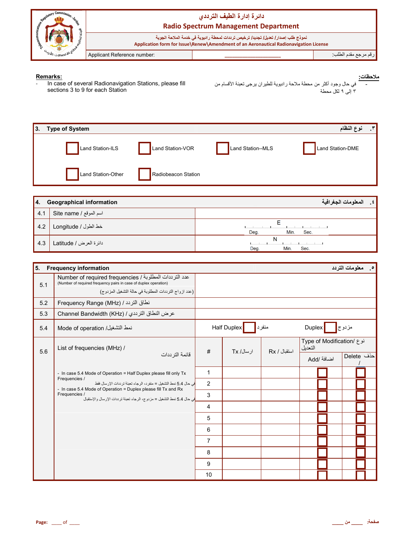

**Remarks:**<br>- In case of several Radionavigation Stations, please fill<br>sections 3 to 9 for each Station

في حال وجود أكثر من محطة ملاحة راديوية للطيران يرجى تعينة الأقسام من<br>٣ إلى ٩ لكل محطة <u>ملاحظات:</u>

| 3. | <b>Type of System</b> |                     |                   | $\mathbf{r}$<br>نوع النظام |
|----|-----------------------|---------------------|-------------------|----------------------------|
|    | Land Station-ILS      | Land Station-VOR    | Land Station--MLS | Land Station-DME           |
|    | Land Station-Other    | Radiobeacon Station |                   |                            |

| 14. | <b>Geographical information</b> | المعلومات الجغرافية<br>$\cdot$ $\epsilon$ |
|-----|---------------------------------|-------------------------------------------|
| 4.1 | اسم الموقع / Site name          |                                           |
| 4.2 | خط الطول / Longitude            | Deg.<br>Min.<br>Sec.                      |
| 4.3 | دائر ۃ العرض / Latitude         | N<br>Deg.<br>Min.<br>Sec.                 |

| 5.  | <b>Frequency information</b>                                                                                                                                                        |                |             |              |                                      | <b>0 معلومات التردد</b> |  |
|-----|-------------------------------------------------------------------------------------------------------------------------------------------------------------------------------------|----------------|-------------|--------------|--------------------------------------|-------------------------|--|
| 5.1 | عدد الترددات المطلوبة / Number of required frequencies<br>(Number of required frequency pairs in case of duplex operation)<br>(عدد ازواج الترددات المطلوبة في حالة التشغيل المزدوج) |                |             |              |                                      |                         |  |
| 5.2 | نطاق التردد / Frequency Range (MHz)                                                                                                                                                 |                |             |              |                                      |                         |  |
| 5.3 | عرض النطاق الترددي / Channel Bandwidth (KHz)                                                                                                                                        |                |             |              |                                      |                         |  |
| 5.4 | نمط التشغيل/ Mode of operation                                                                                                                                                      |                | Half Duplex | منفرد        | Duplex                               | مزدوج                   |  |
| 5.6 | List of frequencies (MHz) /                                                                                                                                                         | #              | ار سال/ Tx  | استقبال / Rx | نوع /Type of Modification<br>التعديل |                         |  |
|     | قائمة التر ددات                                                                                                                                                                     |                |             |              | اضافة /Add                           | احذف Delete             |  |
|     | - In case 5.4 Mode of Operation = Half Duplex please fill only Tx                                                                                                                   | 1              |             |              |                                      |                         |  |
|     | Frequencies /<br>في حال 5.4 نمط التشغيل = منفر د، الر جاء تعبئة تر ددات الإر سال فقط<br>- In case 5.4 Mode of Operation = Duplex please fill Tx and Rx                              | $\overline{2}$ |             |              |                                      |                         |  |
|     | Frequencies /<br>في حال 5.4 نمط التشغيل = مز دو ج، الر جاء تعينة تر ددات الإر سال و الإستقبال                                                                                       | 3              |             |              |                                      |                         |  |
|     |                                                                                                                                                                                     | 4              |             |              |                                      |                         |  |
|     |                                                                                                                                                                                     | 5              |             |              |                                      |                         |  |
|     |                                                                                                                                                                                     | 6              |             |              |                                      |                         |  |
|     |                                                                                                                                                                                     | $\overline{7}$ |             |              |                                      |                         |  |
|     |                                                                                                                                                                                     | 8              |             |              |                                      |                         |  |
|     |                                                                                                                                                                                     | 9              |             |              |                                      |                         |  |
|     |                                                                                                                                                                                     | 10             |             |              |                                      |                         |  |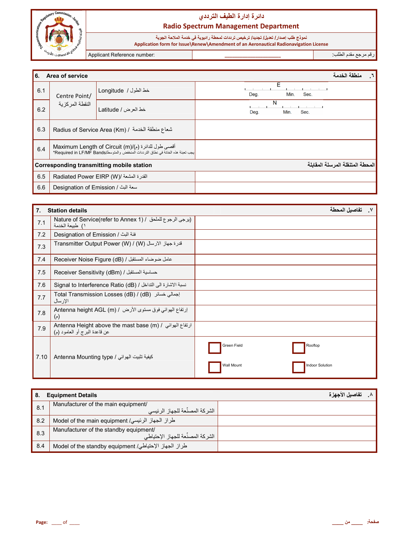

نموذج طلب إصدا*ر |* تعليل | تجديد/ ترخيص ترددات لمحطة راديوية في خدمة الملاحة الجوية<br>Application form for Issue\Renew\Amendment of an Aeronautical Radionavigation License

Applicant Reference number:

رقم مرجع مقدم الطلب:

| l6.                                              | Area of service                                                                                                                         |                                         |                           | منطقة الخدمة                     |  |
|--------------------------------------------------|-----------------------------------------------------------------------------------------------------------------------------------------|-----------------------------------------|---------------------------|----------------------------------|--|
| 6.1                                              | Centre Point/                                                                                                                           | خط الطول / Longitude                    | E<br>Sec.<br>Deg.<br>Min. |                                  |  |
| 6.2                                              | النقطة المركزية                                                                                                                         | خط العرض / Latitude                     | N<br>Min.<br>Sec.<br>Deg. |                                  |  |
| 6.3                                              | Radius of Service Area (Km) / شعاع منطقة الخدمة                                                                                         |                                         |                           |                                  |  |
| 6.4                                              | أقصبي طول للدائرة (م)/Maximum Length of Circuit (m)<br>يجب تعبئة هذه الخانة في نطاق الترددات المنخفض والمتوسط/Required in LF/MF Bands؟* |                                         |                           |                                  |  |
| <b>Corresponding transmitting mobile station</b> |                                                                                                                                         |                                         |                           | المحطة المتنقلة المرسلة المقابلة |  |
| 6.5                                              |                                                                                                                                         | القدرة المشعة /( Radiated Power EIRP (W |                           |                                  |  |
| 6.6                                              | سعة البث / Designation of Emission                                                                                                      |                                         |                           |                                  |  |

| 7.   | <b>Station details</b>                                                                                            | تفاصيل المحطة<br>$\mathsf{v}$                                  |
|------|-------------------------------------------------------------------------------------------------------------------|----------------------------------------------------------------|
| 7.1  | Nature of Service(refer to Annex 1) / ايرجى الرجوع للملحق / Nature of Service(refer to Annex 1<br>١) طبيعة الخدمة |                                                                |
| 7.2  | فئة البث / Designation of Emission                                                                                |                                                                |
| 7.3  | Transmitter Output Power (W) / (W) أَفْرة جهاز الأرسال                                                            |                                                                |
| 7.4  | عامل ضوضاء المستقبل / (Receiver Noise Figure (dB                                                                  |                                                                |
| 7.5  | Receiver Sensitivity (dBm) / حساسية المستقبل                                                                      |                                                                |
| 7.6  | نسبة الاشارة الى التداخل / Signal to Interference Ratio (dB)                                                      |                                                                |
| 7.7  | Total Transmission Losses (dB) / (dB) إجمالي خسائر<br>الإرسال                                                     |                                                                |
| 7.8  | إرتفاع الهوائي فوق مستوى الأرض / Antenna height AGL (m)<br>$(\gamma)$                                             |                                                                |
| 7.9  | ارتفاع الهوائي / Antenna Height above the mast base (m)<br>عن قاعدة البرج أو العامود (م)                          |                                                                |
| 7.10 | كيفية تثبيت الهوائي / Antenna Mounting type                                                                       | Green Field<br>Rooftop<br>Wall Mount<br><b>Indoor Solution</b> |

| <b>Equipment Details</b><br>-8. |                                                                             | تفاصيل الأجهز ة |
|---------------------------------|-----------------------------------------------------------------------------|-----------------|
| 8.1                             | Manufacturer of the main equipment/<br>الشر كة المصنِّعة للجهاز الرئيسي     |                 |
| 8.2                             | طراز الجهاز الرئيسي/ Model of the main equipment                            |                 |
| 8.3                             | Manufacturer of the standby equipment/<br>الشركة المصنِّعة للجهاز الإحتياطي |                 |
| 8.4                             | طراز الجهاز الإحتياطي/ Model of the standby equipment                       |                 |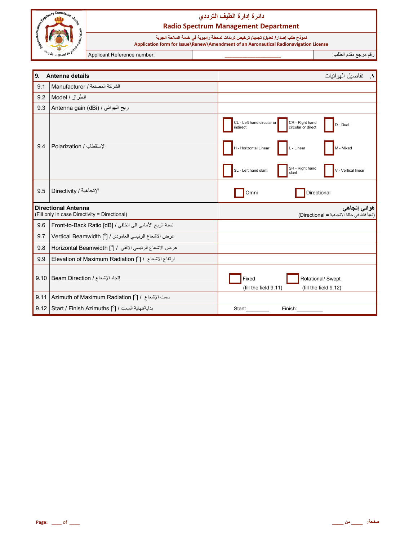

نموذج طلب إصدا*ر |* تعليل | تجديد/ ترخيص ترددات لمحطة راديوية في خدمة الملاحة الجوية<br>Application form for Issue\Renew\Amendment of an Aeronautical Radionavigation License

Applicant Reference number:

رقم مرجع مقدم الطلب:

| 9.   | Antenna details                                                             | ٩.     تفاصيل الهو ائيات                                                                    |
|------|-----------------------------------------------------------------------------|---------------------------------------------------------------------------------------------|
| 9.1  | الشركة المصنعة / Manufacturer                                               |                                                                                             |
| 9.2  | الطراز / Model                                                              |                                                                                             |
| 9.3  | Antenna gain (dBi) / ربح الهوائي                                            |                                                                                             |
|      |                                                                             | CR - Right hand<br>CL - Left hand circular or<br>D - Dual<br>circular or direct<br>indirect |
| 9.4  | الإستقطاب / Polarization                                                    | H - Horizontal Linear<br>L - Linear<br>M - Mixed                                            |
|      |                                                                             | SR - Right hand<br>SL - Left hand slant<br>V - Vertical linear<br>slant                     |
| 9.5  | الإتجاهية / Directivity                                                     | Directional<br>Omni                                                                         |
|      | <b>Directional Antenna</b><br>(Fill only in case Directivity = Directional) | هوائي إتجاهي<br>(تعبأ فقط في حالة الاتجاهية = Directional)                                  |
| 9.6  | نسبة الربح الأمامي الى الخلفي / Front-to-Back Ratio [dB]                    |                                                                                             |
| 9.7  | عرض الاشعاع الرئيسي العامودي / [ <sup>0</sup> ] Vertical Beamwidth          |                                                                                             |
| 9.8  | عرض الاشعاع الرئيسي الافقي / [ <sup>0</sup> ] Horizontal Beamwidth          |                                                                                             |
| 9.9  | Elevation of Maximum Radiation [ $^{\circ}$ ] / ارتفاع الاشعاع / [          |                                                                                             |
| 9.10 | إتجاه الإشعاع / Beam Direction                                              | Fixed<br>Rotational/ Swept<br>(fill the field 9.11)<br>(fill the field 9.12)                |
| 9.11 | Azimuth of Maximum Radiation [ $^{\circ}$ ] / اسمت الإشعاع /                |                                                                                             |
| 9.12 | بداية/نهاية السمت / Start / Finish Azimuths [°] /                           | Start:<br>Finish:                                                                           |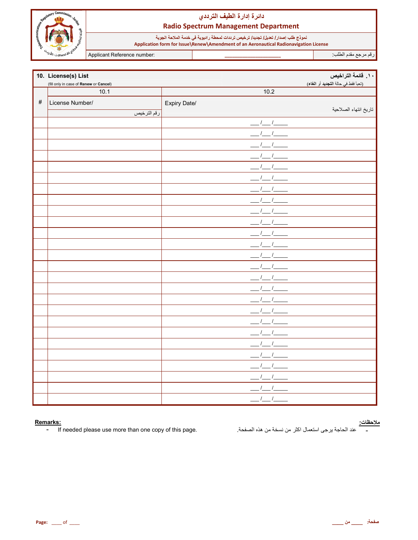

نموذج طلب إصدا*ر |* تعليل | تجديد/ ترخيص ترددات لمحطة راديوية في خدمة الملاحة الجوية<br>Application form for Issue\Renew\Amendment of an Aeronautical Radionavigation License

Applicant Reference number:

رقم مرجع مقدم الطلب

|      | 10. License(s) List                    |              | . ١. قائمة التراخيص                 |
|------|----------------------------------------|--------------|-------------------------------------|
|      | (fill only in case of Renew or Cancel) |              | (تعبأ فقط في حالة التجديد أو الغاء) |
|      | 10.1                                   | 10.2         |                                     |
| $\#$ | License Number/                        | Expiry Date/ |                                     |
|      | رقم الترخيص                            |              | تاريخ انتهاء الصلاحية               |
|      |                                        |              |                                     |
|      |                                        |              |                                     |
|      |                                        |              |                                     |
|      |                                        |              |                                     |
|      |                                        |              |                                     |
|      |                                        |              |                                     |
|      |                                        |              |                                     |
|      |                                        |              |                                     |
|      |                                        |              |                                     |
|      |                                        |              |                                     |
|      |                                        |              |                                     |
|      |                                        |              |                                     |
|      |                                        |              |                                     |
|      |                                        |              |                                     |
|      |                                        |              |                                     |
|      |                                        |              |                                     |
|      |                                        |              |                                     |
|      |                                        |              |                                     |
|      |                                        |              |                                     |
|      |                                        |              |                                     |
|      |                                        |              |                                     |
|      |                                        |              |                                     |
|      |                                        |              |                                     |
|      |                                        |              |                                     |
|      |                                        |              |                                     |
|      |                                        |              |                                     |

#### Remarks:

If needed please use more than one copy of this page.  $\omega_{\rm c}$